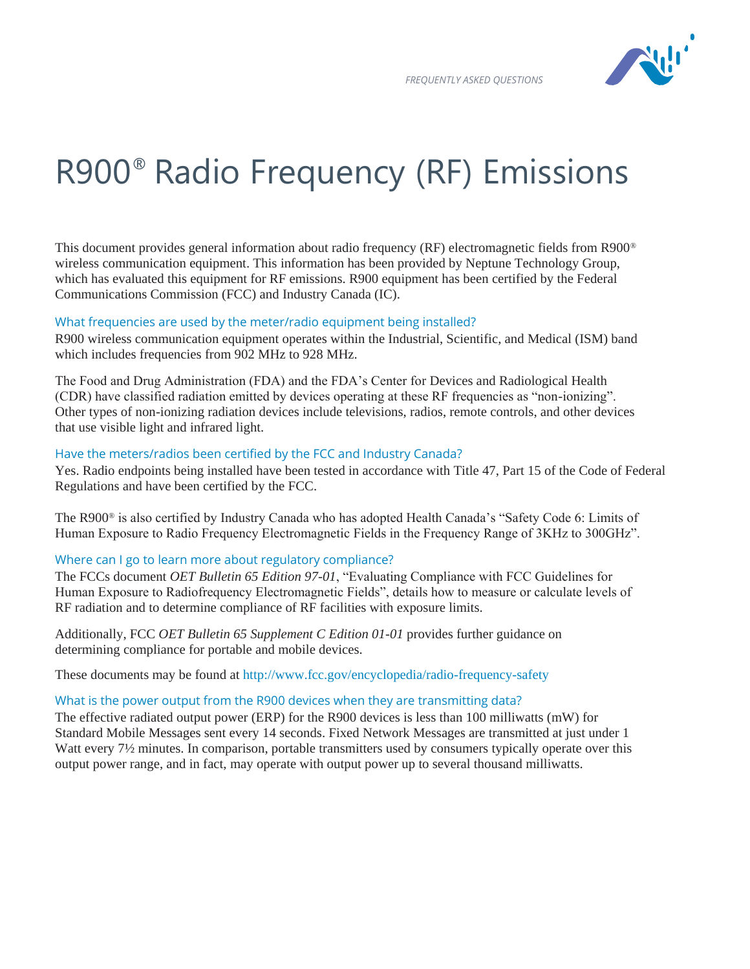

# R900® Radio Frequency (RF) Emissions

This document provides general information about radio frequency (RF) electromagnetic fields from R900® wireless communication equipment. This information has been provided by Neptune Technology Group, which has evaluated this equipment for RF emissions. R900 equipment has been certified by the Federal Communications Commission (FCC) and Industry Canada (IC).

#### What frequencies are used by the meter/radio equipment being installed?

R900 wireless communication equipment operates within the Industrial, Scientific, and Medical (ISM) band which includes frequencies from 902 MHz to 928 MHz.

The Food and Drug Administration (FDA) and the FDA's Center for Devices and Radiological Health (CDR) have classified radiation emitted by devices operating at these RF frequencies as "non-ionizing". Other types of non-ionizing radiation devices include televisions, radios, remote controls, and other devices that use visible light and infrared light.

### Have the meters/radios been certified by the FCC and Industry Canada?

Yes. Radio endpoints being installed have been tested in accordance with Title 47, Part 15 of the Code of Federal Regulations and have been certified by the FCC.

The R900® is also certified by Industry Canada who has adopted Health Canada's "Safety Code 6: Limits of Human Exposure to Radio Frequency Electromagnetic Fields in the Frequency Range of 3KHz to 300GHz".

# Where can I go to learn more about regulatory compliance?

The FCCs document *OET Bulletin 65 Edition 97-01*, "Evaluating Compliance with FCC Guidelines for Human Exposure to Radiofrequency Electromagnetic Fields", details how to measure or calculate levels of RF radiation and to determine compliance of RF facilities with exposure limits.

Additionally, FCC *OET Bulletin 65 Supplement C Edition 01-01* provides further guidance on determining compliance for portable and mobile devices.

These documents may be found at<http://www.fcc.gov/encyclopedia/radio-frequency-safety>

# What is the power output from the R900 devices when they are transmitting data?

The effective radiated output power (ERP) for the R900 devices is less than 100 milliwatts (mW) for Standard Mobile Messages sent every 14 seconds. Fixed Network Messages are transmitted at just under 1 Watt every 7<sup>1</sup>/<sub>2</sub> minutes. In comparison, portable transmitters used by consumers typically operate over this output power range, and in fact, may operate with output power up to several thousand milliwatts.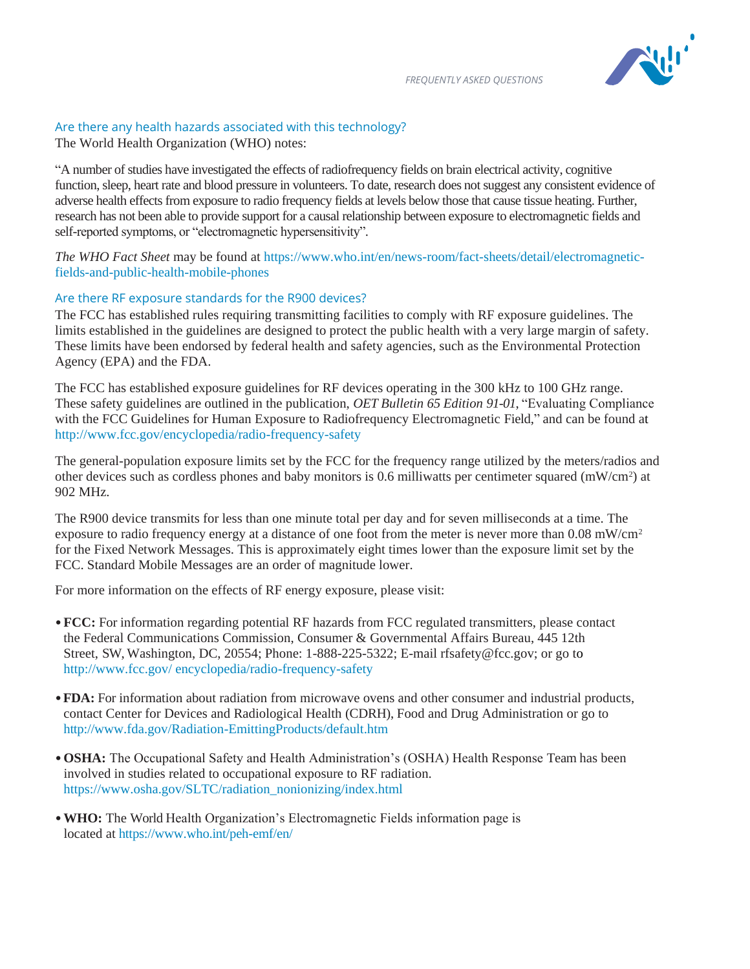

# Are there any health hazards associated with this technology?

The World Health Organization (WHO) notes:

"A number of studies have investigated the effects of radiofrequency fields on brain electrical activity, cognitive function, sleep, heart rate and blood pressure in volunteers. To date, research does not suggest any consistent evidence of adverse health effects from exposure to radio frequency fields at levels below those that cause tissue heating. Further, research has not been able to provide support for a causal relationship between exposure to electromagnetic fields and self-reported symptoms, or "electromagnetic hypersensitivity".

*The WHO Fact Sheet* may be found at [https://www.who.int/en/news-room/fact-sheets/detail/electromagnetic](https://www.who.int/en/news-room/fact-sheets/detail/electromagnetic-fields-and-public-health-mobile-phones)[fields-and-public-health-mobile-phones](https://www.who.int/en/news-room/fact-sheets/detail/electromagnetic-fields-and-public-health-mobile-phones)

#### Are there RF exposure standards for the R900 devices?

The FCC has established rules requiring transmitting facilities to comply with RF exposure guidelines. The limits established in the guidelines are designed to protect the public health with a very large margin of safety. These limits have been endorsed by federal health and safety agencies, such as the Environmental Protection Agency (EPA) and the FDA.

The FCC has established exposure guidelines for RF devices operating in the 300 kHz to 100 GHz range. These safety guidelines are outlined in the publication, *OET Bulletin 65 Edition 91-01*, "Evaluating Compliance with the FCC Guidelines for Human Exposure to Radiofrequency Electromagnetic Field," and can be found at <http://www.fcc.gov/encyclopedia/radio-frequency-safety>

The general-population exposure limits set by the FCC for the frequency range utilized by the meters/radios and other devices such as cordless phones and baby monitors is 0.6 milliwatts per centimeter squared (mW/cm<sup>2</sup>) at 902 MHz.

The R900 device transmits for less than one minute total per day and for seven milliseconds at a time. The exposure to radio frequency energy at a distance of one foot from the meter is never more than  $0.08 \text{ mW/cm}^2$ for the Fixed Network Messages. This is approximately eight times lower than the exposure limit set by the FCC. Standard Mobile Messages are an order of magnitude lower.

For more information on the effects of RF energy exposure, please visit:

- •**FCC:** For information regarding potential RF hazards from FCC regulated transmitters, please contact the Federal Communications Commission, Consumer & Governmental Affairs Bureau, 445 12th Street, SW, Washington, DC, 20554; Phone: 1-888-225-5322; E-mail rfsafety@fcc.gov; or go to [http://www.fcc.gov/ encyclopedia/radio-frequency-safety](http://www.fcc.gov/%20encyclopedia/radio-frequency-safety)
- •**FDA:** For information about radiation from microwave ovens and other consumer and industrial products, contact Center for Devices and Radiological Health (CDRH), Food and Drug Administration or go to http:/[/www.fda.gov/Radiation-EmittingProducts/default.htm](http://www.fda.gov/Radiation-EmittingProducts/default.htm)
- •**OSHA:** The Occupational Safety and Health Administration's (OSHA) Health Response Team has been involved in studies related to occupational exposure to RF radiation. https:/[/www.osha.gov/SLTC/radiation\\_nonionizing/index.html](http://www.osha.gov/SLTC/radiation_nonionizing/index.html)
- •**WHO:** The World Health Organization's Electromagnetic Fields information page is located at <https://www.who.int/peh-emf/en/>